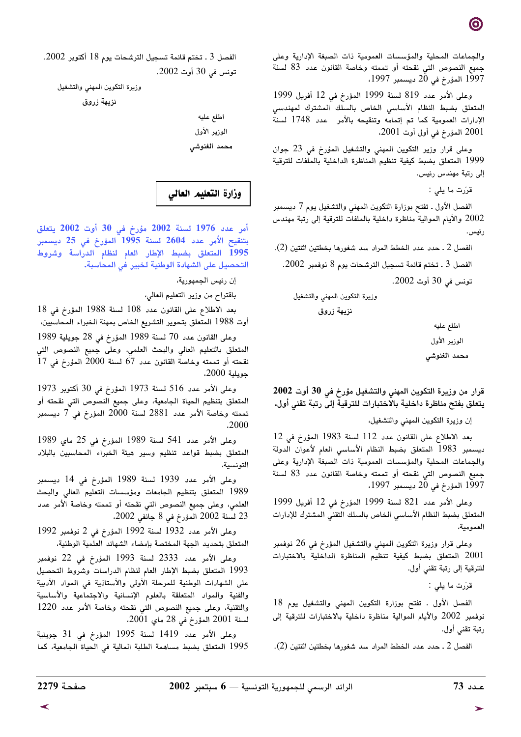والجماعات المحلية والمؤسسات العمومية ذات الصبغة الإدارية وعلى جميع النصوص التي نقحته أو تممته وخاصة القانون عدد 83 لسنة<br>1997 المؤرخ في 20 ديسمبر 1997،

وعلى الأمر عدد 819 لسنة 1999 المؤرخ في 12 أفريل 1999 المتعلق بضبط النظام الأساسي الخاص بالسلك المشترك لمهندسي الإدارات العمومية كما تم إتمامه وتنقيحه بالأمر عدد 1748 لسنة 2001 المؤرخ في أول أوت 2001.

وعلى قرار وزير التكوين المهنى والتشغيل المؤرخ في 23 جوان 1999 المتعلق بضبط كيفية تنظيم المناظرة الداخلية بالملفات للترقية إلى رتبة مهندس رئيس.

قرَرت ما يلي:

الفصل الأول ـ تفتح بوزارة التكوين المهنى والتشغيل يوم 7 ديسمبر 2002 والأيام الموالية مناظرة داخلية بالملفات للترقية إلى رتبة مهندس رئيس.

الفصل 2 ـ حدد عدد الخطط المراد سد شغورها بخطتين اثنتين (2). الفصل 3 . تختم قائمة تسجيل الترشحات يوم 8 نوفمبر 2002. تونس فى 30 أوت 2002.

وزيرة التكوين المهني والتشغيل

نزيهة زروق

اطلع عليه الوزير الأول

محمد الغنوشى

قرار من وزيرة التكوين المهنى والتشغيل مؤرخ في 30 أوت 2002 يتعلق بفتح مناظرة داخلية بالاختبارات للترقية إلى رتبة تقني أول.

إن وزيرة التكوين المهنى والتشغيل،

بعد الاطلاع على القانون عدد 112 لسنة 1983 المؤرخ في 12 ديسمبر 1983 المتعلق بضبط النظام الأساسى العام لأعوان الدولة والجماعات المحلية والمؤسسات العمومية ذات الصبغة الإدارية وعلى جميع النصوص التي نقحته أو تممته وخاصة القانون عدد 83 لسنة 1997 المؤرخ في 20 ديسمبر 1997،

وعلى الأمر عدد 821 لسنة 1999 المؤرخ في 12 أفريل 1999 المتعلق بضبط النظام الأساسي الخاص بالسلك التقني المشترك للإدارات العمومية،

وعلى قرار وزيرة التكوين المهني والتشغيل المؤرخ في 26 نوفمبر المتعلق بضبط كيفية تنظيم المناظرة الداخلية بالاختبارات  $2001$ للترقية إلى رتبة تقنى أول.

قرَرت ما يلي :

الفصل الأول ـ تفتح بوزارة التكوين المهني والتشغيل يوم 18 نوفمبر 2002 والأيام الموالية مناظرة داخلية بالاختبارات للترقية إلى رتبة تقنى أول.

الفصل 2 ـ حدد عدد الخطط المراد سد شغورها بخطتين اثنتين (2).

الفصل 3 ـ تختم قائمة تسجيل الترشحات يوم 18 أكتوبر 2002. تونس في 30 أوت 2002.

وزيرة التكوين المهنى والتشغيل

نزيهة زروق

| اطلع عليه    |
|--------------|
| الوزير الأول |
| محمد الغنوشي |

وزارة التعليم العالي

أمر عدد 1976 لسنة 2002 مؤرخ في 30 أوت 2002 يتعلق بتنقيح الأمر عدد 2604 لسنة 1995 المؤرخ في 25 ديسمبر .<br>1995 المتعلق بضبط الإطار العام لنظام الدراسة وشروط التحصيل على الشهادة الوطنية لخبير في المحاسبة.

إن رئيس الجمهورية،

باقتراح من وزير التعليم العالي،

بعد الاطلاع على القانون عدد 108 لسنة 1988 المؤرخ في 18 أوت 1988 المتعلق بتحوير التشريع الخاص بمهنة الخبراء المحاسبين،

وعلى القانون عدد 70 لسنة 1989 المؤرخ في 28 جويلية 1989 المتعلق بالتعليم العالى والبحث العلمى، وعلى جميع النصوص التى نقحته أو تممته وخاصة القانون عدد 67 لسنة 2000 المؤرخ في 17 جويلية 2000.

وعلى الأمر عدد 516 لسنة 1973 المؤرخ في 30 أكتوبر 1973 المتعلق بتنظيم الحياة الجامعية، وعلى جميع النصوص التي نقحته أو تممته وخاصة الأمر عدد 2881 لسنة 2000 المؤرخ في 7 ديسمبر ,2000

وعلى الأمر عدد 541 لسنة 1989 المؤرخ في 25 ماي 1989 المتعلق بضبط قواعد تنظيم وسير هيئة الخبراء المحاسبين بالبلاد التونسية،

وعلى الأمر عدد 1939 لسنة 1989 المؤرخ في 14 ديسمبر 1989 المتعلق بتنظيم الجامعات ومؤسسات التعليم العالى والبحث العلمي، وعلى جميع النصوص التي نقحته أو تممته وخاصة الأمر عدد 23 لسنة 2002 المؤرخ في 8 جانفي 2002،

وعلى الأمر عدد 1932 لسنة 1992 المؤرخ في 2 نوفمبر 1992 المتعلق بتحديد الجهة المختصة بإمضاء الشهائد العلمية الوطنية،

وعلى الأمر عدد 2333 لسنة 1993 المؤرخ في 22 نوفمبر 1993 المتعلق بضبط الإطار العام لنظام الدراسات وشروط التحصيل على الشهادات الوطنية للمرحلة الأولى والأستاذية فى المواد الأدبية والفنية والمواد المتعلقة بالعلوم الإنسانية والاجتماعية والأساسية والتقنية، وعلى جميع النصوص التي نقحته وخاصة الأمر عدد 1220 لسنة 2001 المؤرخ في 28 ماي 2001.

وعلى الأمر عدد 1419 لسنة 1995 المؤرخ فى 31 جويلية 1995 المتعلق بضبط مساهمة الطلبة المالية في الحياة الجامعية، كما